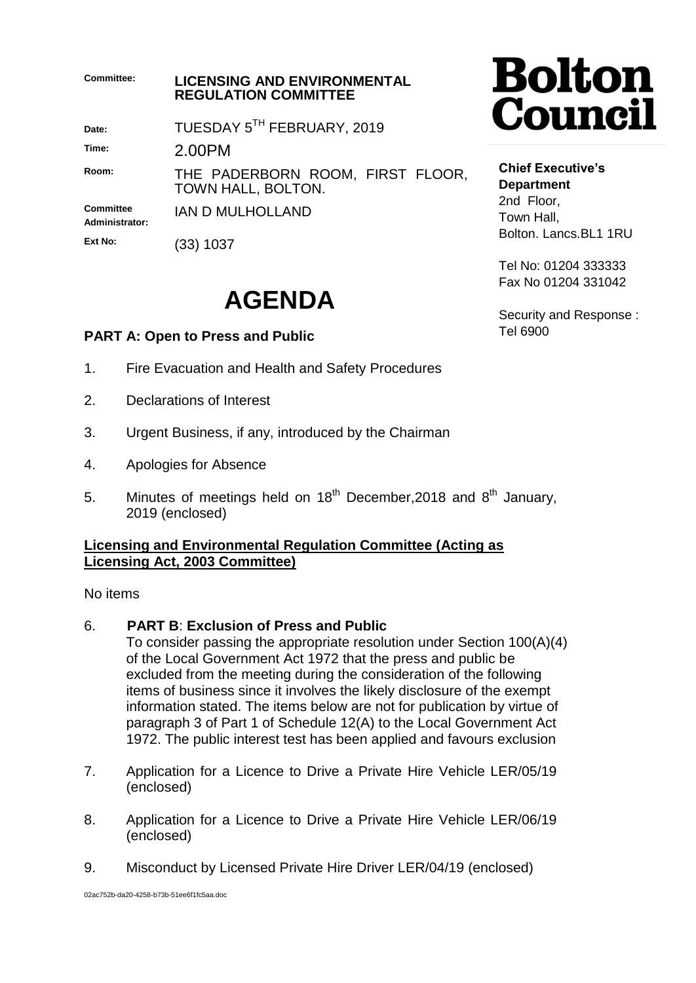| <b>Committee:</b>                  | <b>LICENSING AND ENVIRONMENTAL</b><br><b>REGULATION COMMITTEE</b> |                                                               |
|------------------------------------|-------------------------------------------------------------------|---------------------------------------------------------------|
| Date:                              | TUESDAY 5TH FEBRUARY, 2019                                        |                                                               |
| Time:                              | 2.00PM                                                            |                                                               |
| Room:                              | THE PADERBORN ROOM, FIRST FLOOR,<br>TOWN HALL, BOLTON.            | <b>Chief</b><br><b>Depar</b><br>2ndF<br>Town<br><b>Bolton</b> |
| <b>Committee</b><br>Administrator: | <b>JAN D MULHOLLAND</b>                                           |                                                               |
| Ext No:                            | (33) 1037                                                         |                                                               |

## **AGENDA**

### **PART A: Open to Press and Public**

- 1. Fire Evacuation and Health and Safety Procedures
- 2. Declarations of Interest
- 3. Urgent Business, if any, introduced by the Chairman
- 4. Apologies for Absence
- 5. Minutes of meetings held on  $18<sup>th</sup>$  December, 2018 and  $8<sup>th</sup>$  January, 2019 (enclosed)

#### **Licensing and Environmental Regulation Committee (Acting as Licensing Act, 2003 Committee)**

No items

#### 6. **PART B**: **Exclusion of Press and Public**

To consider passing the appropriate resolution under Section 100(A)(4) of the Local Government Act 1972 that the press and public be excluded from the meeting during the consideration of the following items of business since it involves the likely disclosure of the exempt information stated. The items below are not for publication by virtue of paragraph 3 of Part 1 of Schedule 12(A) to the Local Government Act 1972. The public interest test has been applied and favours exclusion

- 7. Application for a Licence to Drive a Private Hire Vehicle LER/05/19 (enclosed)
- 8. Application for a Licence to Drive a Private Hire Vehicle LER/06/19 (enclosed)
- 9. Misconduct by Licensed Private Hire Driver LER/04/19 (enclosed)

# olton **puncil**

Executive's **tment** loor, Hall. . Lancs.BL1 1RU

Tel No: 01204 333333 Fax No 01204 331042

Security and Response : Tel 6900